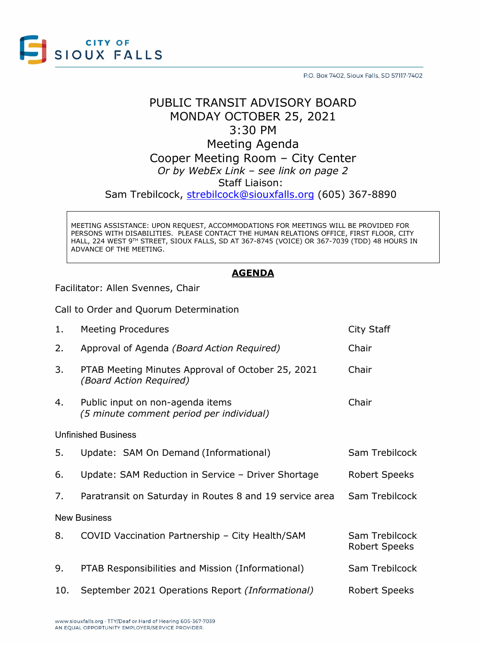

P.O. Box 7402, Sioux Falls, SD 57117-7402

## PUBLIC TRANSIT ADVISORY BOARD MONDAY OCTOBER 25, 2021 3:30 PM Meeting Agenda Cooper Meeting Room – City Center

*Or by WebEx Link – see link on page 2*

Staff Liaison:

Sam Trebilcock, [strebilcock@siouxfalls.org](mailto:strebilcock@siouxfalls.org) (605) 367-8890

MEETING ASSISTANCE: UPON REQUEST, ACCOMMODATIONS FOR MEETINGS WILL BE PROVIDED FOR PERSONS WITH DISABILITIES. PLEASE CONTACT THE HUMAN RELATIONS OFFICE, FIRST FLOOR, CITY HALL, 224 WEST 9TH STREET, SIOUX FALLS, SD AT 367-8745 (VOICE) OR 367-7039 (TDD) 48 HOURS IN ADVANCE OF THE MEETING.

### **AGENDA**

Facilitator: Allen Svennes, Chair

Call to Order and Quorum Determination

| 1.                         | <b>Meeting Procedures</b>                                                    | City Staff                      |
|----------------------------|------------------------------------------------------------------------------|---------------------------------|
| 2.                         | Approval of Agenda (Board Action Required)                                   | Chair                           |
| 3.                         | PTAB Meeting Minutes Approval of October 25, 2021<br>(Board Action Required) | Chair                           |
| 4.                         | Public input on non-agenda items<br>(5 minute comment period per individual) | Chair                           |
| <b>Unfinished Business</b> |                                                                              |                                 |
| 5.                         | Update: SAM On Demand (Informational)                                        | Sam Trebilcock                  |
| 6.                         | Update: SAM Reduction in Service - Driver Shortage                           | Robert Speeks                   |
| 7.                         | Paratransit on Saturday in Routes 8 and 19 service area                      | Sam Trebilcock                  |
| <b>New Business</b>        |                                                                              |                                 |
| 8.                         | COVID Vaccination Partnership - City Health/SAM                              | Sam Trebilcock<br>Robert Speeks |
| 9.                         | PTAB Responsibilities and Mission (Informational)                            | Sam Trebilcock                  |
| 10.                        | September 2021 Operations Report (Informational)                             | <b>Robert Speeks</b>            |
|                            |                                                                              |                                 |